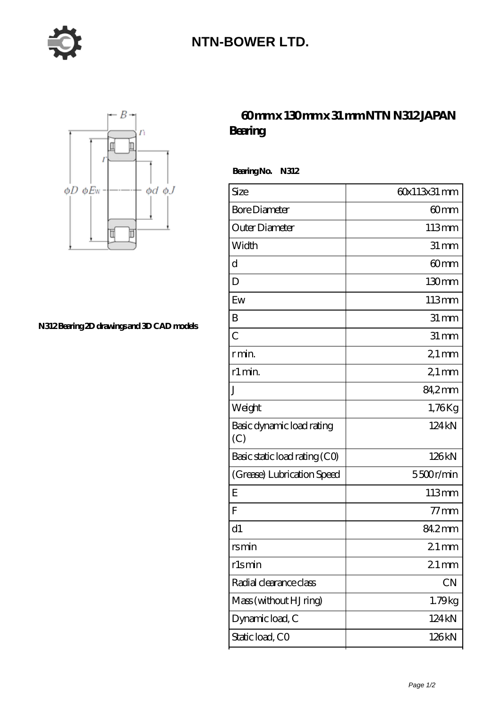

## **[NTN-BOWER LTD.](https://m.moreymansion.com)**



**[N312 Bearing 2D drawings and 3D CAD models](https://m.moreymansion.com/pic-306315.html)**

## **[60 mm x 130 mm x 31 mm NTN N312 JAPAN](https://m.moreymansion.com/af-306315-ntn-n312-japan-bearing.html) [Bearing](https://m.moreymansion.com/af-306315-ntn-n312-japan-bearing.html)**

 **Bearing No. N312**

| Size                             | 60x113x31 mm       |
|----------------------------------|--------------------|
| <b>Bore Diameter</b>             | 60 <sub>mm</sub>   |
| Outer Diameter                   | 113mm              |
| Width                            | $31 \, \text{mm}$  |
| d                                | 60 <sub>mm</sub>   |
| D                                | 130mm              |
| Ew                               | 113mm              |
| B                                | $31 \,\mathrm{mm}$ |
| $\overline{C}$                   | $31 \, \text{mm}$  |
| r min.                           | $21 \,\mathrm{mm}$ |
| r1 min.                          | $21 \,\mathrm{mm}$ |
| J                                | 84,2mm             |
| Weight                           | 1,76Kg             |
| Basic dynamic load rating<br>(C) | 124kN              |
| Basic static load rating (CO)    | 126kN              |
| (Grease) Lubrication Speed       | 5500r/min          |
| E                                | 113mm              |
| $\overline{F}$                   | $77$ mm            |
| d1                               | 84.2mm             |
| rsmin                            | $21$ mm            |
| rlsmin                           | $21$ mm            |
| Radial clearance class           | CN                 |
| Mass (without HJ ring)           | 1.79kg             |
| Dynamic load, C                  | 124 kN             |
| Static load, CO                  | 126kN              |
|                                  |                    |